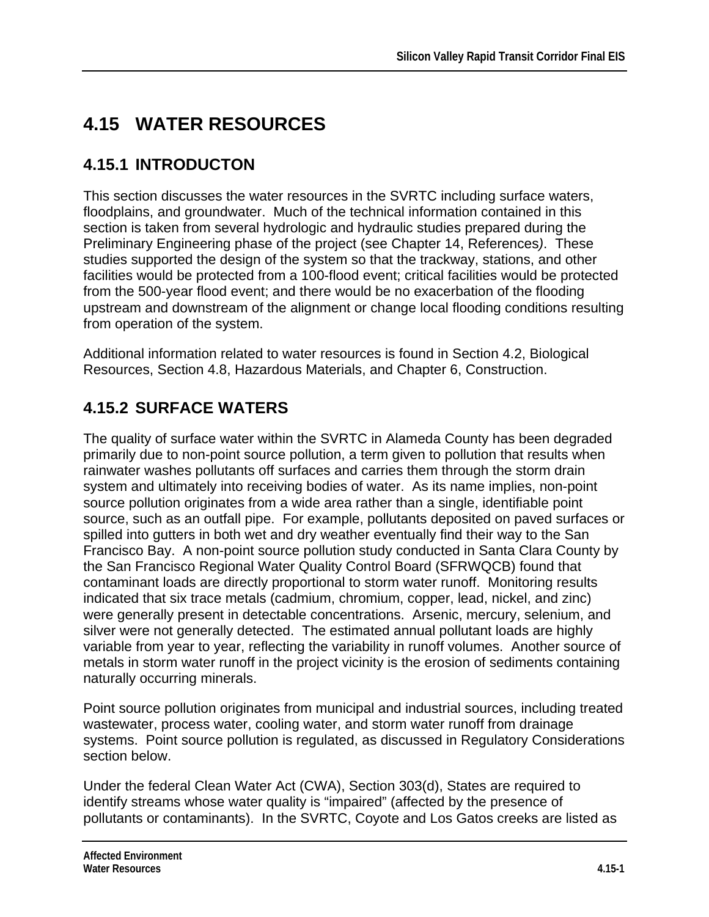# **4.15 WATER RESOURCES**

# **4.15.1 INTRODUCTON**

This section discusses the water resources in the SVRTC including surface waters, floodplains, and groundwater. Much of the technical information contained in this section is taken from several hydrologic and hydraulic studies prepared during the Preliminary Engineering phase of the project (see Chapter 14, References*)*.These studies supported the design of the system so that the trackway, stations, and other facilities would be protected from a 100-flood event; critical facilities would be protected from the 500-year flood event; and there would be no exacerbation of the flooding upstream and downstream of the alignment or change local flooding conditions resulting from operation of the system.

Additional information related to water resources is found in Section 4.2, Biological Resources, Section 4.8, Hazardous Materials, and Chapter 6, Construction.

# **4.15.2 SURFACE WATERS**

The quality of surface water within the SVRTC in Alameda County has been degraded primarily due to non-point source pollution, a term given to pollution that results when rainwater washes pollutants off surfaces and carries them through the storm drain system and ultimately into receiving bodies of water. As its name implies, non-point source pollution originates from a wide area rather than a single, identifiable point source, such as an outfall pipe. For example, pollutants deposited on paved surfaces or spilled into gutters in both wet and dry weather eventually find their way to the San Francisco Bay. A non-point source pollution study conducted in Santa Clara County by the San Francisco Regional Water Quality Control Board (SFRWQCB) found that contaminant loads are directly proportional to storm water runoff. Monitoring results indicated that six trace metals (cadmium, chromium, copper, lead, nickel, and zinc) were generally present in detectable concentrations. Arsenic, mercury, selenium, and silver were not generally detected. The estimated annual pollutant loads are highly variable from year to year, reflecting the variability in runoff volumes. Another source of metals in storm water runoff in the project vicinity is the erosion of sediments containing naturally occurring minerals.

Point source pollution originates from municipal and industrial sources, including treated wastewater, process water, cooling water, and storm water runoff from drainage systems. Point source pollution is regulated, as discussed in Regulatory Considerations section below.

Under the federal Clean Water Act (CWA), Section 303(d), States are required to identify streams whose water quality is "impaired" (affected by the presence of pollutants or contaminants). In the SVRTC, Coyote and Los Gatos creeks are listed as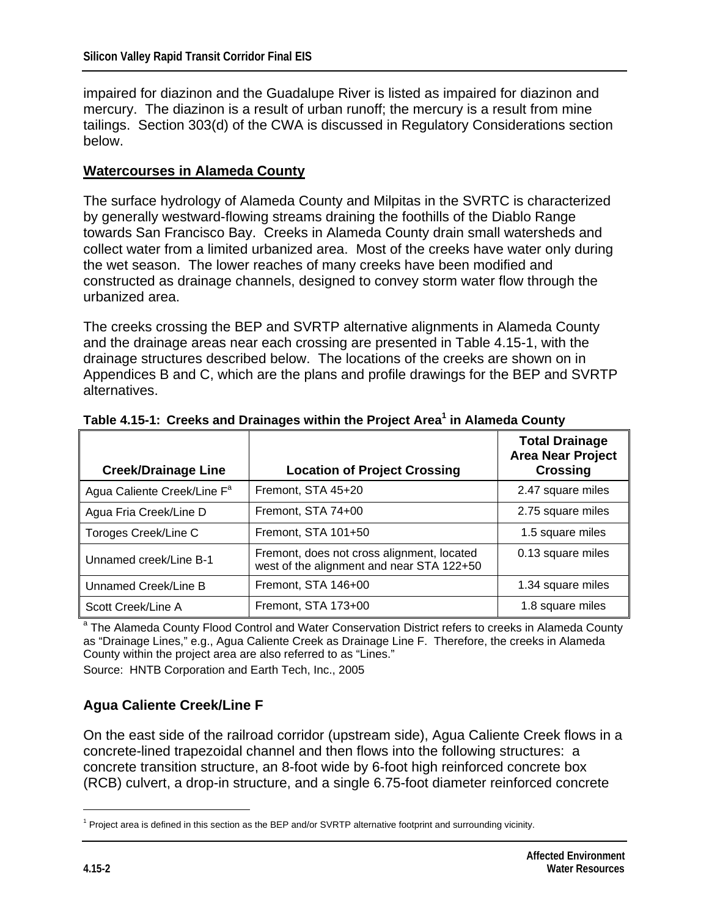impaired for diazinon and the Guadalupe River is listed as impaired for diazinon and mercury. The diazinon is a result of urban runoff; the mercury is a result from mine tailings. Section 303(d) of the CWA is discussed in Regulatory Considerations section below.

#### **Watercourses in Alameda County**

The surface hydrology of Alameda County and Milpitas in the SVRTC is characterized by generally westward-flowing streams draining the foothills of the Diablo Range towards San Francisco Bay. Creeks in Alameda County drain small watersheds and collect water from a limited urbanized area. Most of the creeks have water only during the wet season. The lower reaches of many creeks have been modified and constructed as drainage channels, designed to convey storm water flow through the urbanized area.

The creeks crossing the BEP and SVRTP alternative alignments in Alameda County and the drainage areas near each crossing are presented in Table 4.15-1, with the drainage structures described below. The locations of the creeks are shown on in Appendices B and C, which are the plans and profile drawings for the BEP and SVRTP alternatives.

| <b>Creek/Drainage Line</b>              | <b>Location of Project Crossing</b>                                                     | <b>Total Drainage</b><br><b>Area Near Project</b><br><b>Crossing</b> |
|-----------------------------------------|-----------------------------------------------------------------------------------------|----------------------------------------------------------------------|
| Agua Caliente Creek/Line F <sup>a</sup> | Fremont, STA 45+20                                                                      | 2.47 square miles                                                    |
| Agua Fria Creek/Line D                  | Fremont, STA 74+00                                                                      | 2.75 square miles                                                    |
| Toroges Creek/Line C                    | Fremont, STA 101+50                                                                     | 1.5 square miles                                                     |
| Unnamed creek/Line B-1                  | Fremont, does not cross alignment, located<br>west of the alignment and near STA 122+50 | 0.13 square miles                                                    |
| Unnamed Creek/Line B                    | Fremont, STA 146+00                                                                     | 1.34 square miles                                                    |
| Scott Creek/Line A                      | Fremont, STA 173+00                                                                     | 1.8 square miles                                                     |

**Table 4.15-1: Creeks and Drainages within the Project Area<sup>1</sup> in Alameda County** 

<sup>a</sup> The Alameda County Flood Control and Water Conservation District refers to creeks in Alameda County as "Drainage Lines," e.g., Agua Caliente Creek as Drainage Line F. Therefore, the creeks in Alameda County within the project area are also referred to as "Lines." Source: HNTB Corporation and Earth Tech, Inc., 2005

## **Agua Caliente Creek/Line F**

On the east side of the railroad corridor (upstream side), Agua Caliente Creek flows in a concrete-lined trapezoidal channel and then flows into the following structures: a concrete transition structure, an 8-foot wide by 6-foot high reinforced concrete box (RCB) culvert, a drop-in structure, and a single 6.75-foot diameter reinforced concrete

1

<sup>&</sup>lt;sup>1</sup> Project area is defined in this section as the BEP and/or SVRTP alternative footprint and surrounding vicinity.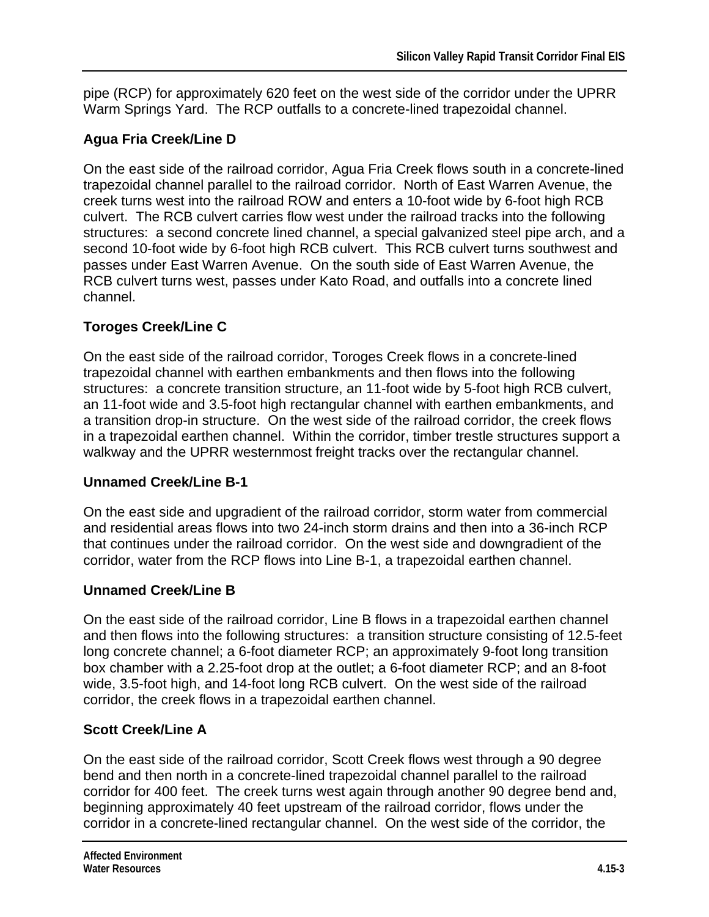pipe (RCP) for approximately 620 feet on the west side of the corridor under the UPRR Warm Springs Yard. The RCP outfalls to a concrete-lined trapezoidal channel.

## **Agua Fria Creek/Line D**

On the east side of the railroad corridor, Agua Fria Creek flows south in a concrete-lined trapezoidal channel parallel to the railroad corridor. North of East Warren Avenue, the creek turns west into the railroad ROW and enters a 10-foot wide by 6-foot high RCB culvert. The RCB culvert carries flow west under the railroad tracks into the following structures: a second concrete lined channel, a special galvanized steel pipe arch, and a second 10-foot wide by 6-foot high RCB culvert. This RCB culvert turns southwest and passes under East Warren Avenue. On the south side of East Warren Avenue, the RCB culvert turns west, passes under Kato Road, and outfalls into a concrete lined channel.

## **Toroges Creek/Line C**

On the east side of the railroad corridor, Toroges Creek flows in a concrete-lined trapezoidal channel with earthen embankments and then flows into the following structures: a concrete transition structure, an 11-foot wide by 5-foot high RCB culvert, an 11-foot wide and 3.5-foot high rectangular channel with earthen embankments, and a transition drop-in structure. On the west side of the railroad corridor, the creek flows in a trapezoidal earthen channel. Within the corridor, timber trestle structures support a walkway and the UPRR westernmost freight tracks over the rectangular channel.

## **Unnamed Creek/Line B-1**

On the east side and upgradient of the railroad corridor, storm water from commercial and residential areas flows into two 24-inch storm drains and then into a 36-inch RCP that continues under the railroad corridor. On the west side and downgradient of the corridor, water from the RCP flows into Line B-1, a trapezoidal earthen channel.

## **Unnamed Creek/Line B**

On the east side of the railroad corridor, Line B flows in a trapezoidal earthen channel and then flows into the following structures: a transition structure consisting of 12.5-feet long concrete channel; a 6-foot diameter RCP; an approximately 9-foot long transition box chamber with a 2.25-foot drop at the outlet; a 6-foot diameter RCP; and an 8-foot wide, 3.5-foot high, and 14-foot long RCB culvert. On the west side of the railroad corridor, the creek flows in a trapezoidal earthen channel.

## **Scott Creek/Line A**

On the east side of the railroad corridor, Scott Creek flows west through a 90 degree bend and then north in a concrete-lined trapezoidal channel parallel to the railroad corridor for 400 feet. The creek turns west again through another 90 degree bend and, beginning approximately 40 feet upstream of the railroad corridor, flows under the corridor in a concrete-lined rectangular channel. On the west side of the corridor, the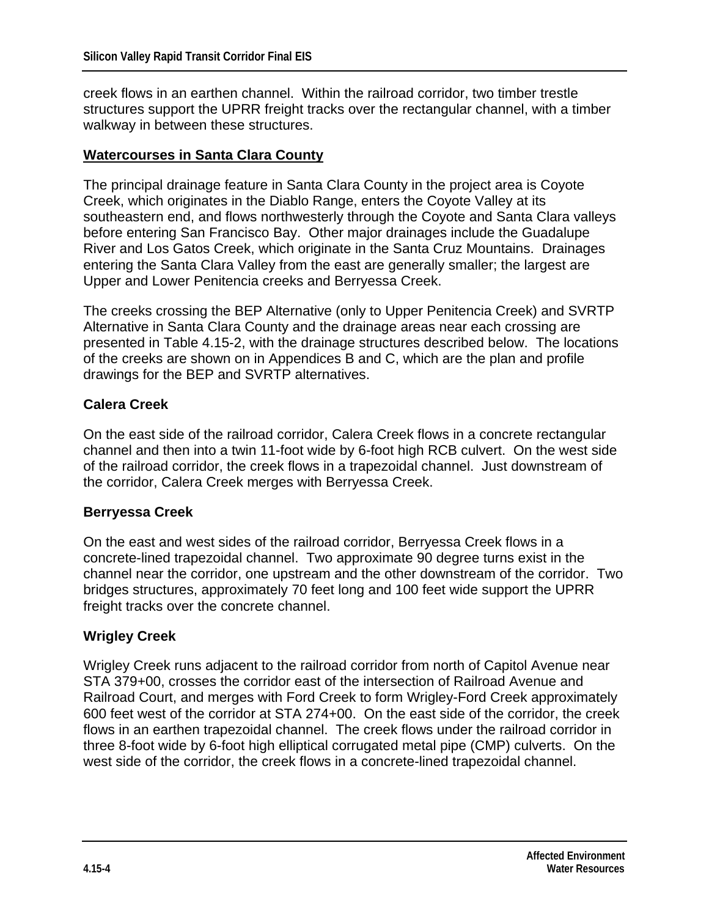creek flows in an earthen channel. Within the railroad corridor, two timber trestle structures support the UPRR freight tracks over the rectangular channel, with a timber walkway in between these structures.

#### **Watercourses in Santa Clara County**

The principal drainage feature in Santa Clara County in the project area is Coyote Creek, which originates in the Diablo Range, enters the Coyote Valley at its southeastern end, and flows northwesterly through the Coyote and Santa Clara valleys before entering San Francisco Bay. Other major drainages include the Guadalupe River and Los Gatos Creek, which originate in the Santa Cruz Mountains. Drainages entering the Santa Clara Valley from the east are generally smaller; the largest are Upper and Lower Penitencia creeks and Berryessa Creek.

The creeks crossing the BEP Alternative (only to Upper Penitencia Creek) and SVRTP Alternative in Santa Clara County and the drainage areas near each crossing are presented in Table 4.15-2, with the drainage structures described below. The locations of the creeks are shown on in Appendices B and C, which are the plan and profile drawings for the BEP and SVRTP alternatives.

#### **Calera Creek**

On the east side of the railroad corridor, Calera Creek flows in a concrete rectangular channel and then into a twin 11-foot wide by 6-foot high RCB culvert. On the west side of the railroad corridor, the creek flows in a trapezoidal channel. Just downstream of the corridor, Calera Creek merges with Berryessa Creek.

#### **Berryessa Creek**

On the east and west sides of the railroad corridor, Berryessa Creek flows in a concrete-lined trapezoidal channel. Two approximate 90 degree turns exist in the channel near the corridor, one upstream and the other downstream of the corridor. Two bridges structures, approximately 70 feet long and 100 feet wide support the UPRR freight tracks over the concrete channel.

#### **Wrigley Creek**

Wrigley Creek runs adjacent to the railroad corridor from north of Capitol Avenue near STA 379+00, crosses the corridor east of the intersection of Railroad Avenue and Railroad Court, and merges with Ford Creek to form Wrigley-Ford Creek approximately 600 feet west of the corridor at STA 274+00. On the east side of the corridor, the creek flows in an earthen trapezoidal channel. The creek flows under the railroad corridor in three 8-foot wide by 6-foot high elliptical corrugated metal pipe (CMP) culverts. On the west side of the corridor, the creek flows in a concrete-lined trapezoidal channel.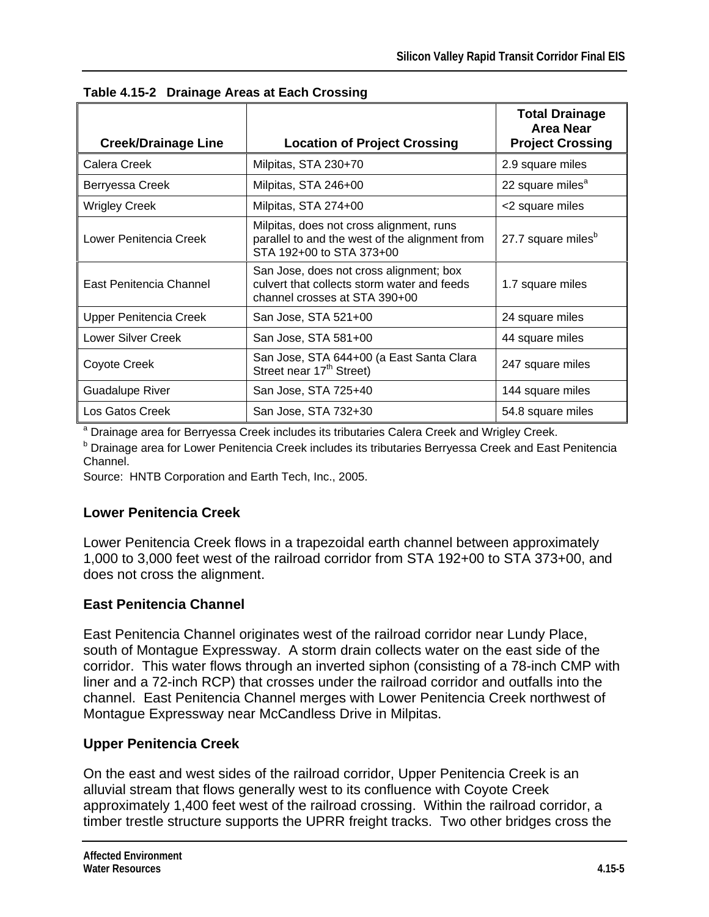|                            |                                                                                                                         | <b>Total Drainage</b><br><b>Area Near</b> |
|----------------------------|-------------------------------------------------------------------------------------------------------------------------|-------------------------------------------|
| <b>Creek/Drainage Line</b> | <b>Location of Project Crossing</b>                                                                                     | <b>Project Crossing</b>                   |
| Calera Creek               | Milpitas, STA 230+70                                                                                                    | 2.9 square miles                          |
| Berryessa Creek            | Milpitas, STA 246+00                                                                                                    | 22 square miles <sup>a</sup>              |
| <b>Wrigley Creek</b>       | Milpitas, STA 274+00                                                                                                    | <2 square miles                           |
| Lower Penitencia Creek     | Milpitas, does not cross alignment, runs<br>parallel to and the west of the alignment from<br>STA 192+00 to STA 373+00  | 27.7 square miles <sup>b</sup>            |
| East Penitencia Channel    | San Jose, does not cross alignment; box<br>culvert that collects storm water and feeds<br>channel crosses at STA 390+00 | 1.7 square miles                          |
| Upper Penitencia Creek     | San Jose, STA 521+00                                                                                                    | 24 square miles                           |
| <b>Lower Silver Creek</b>  | San Jose, STA 581+00                                                                                                    | 44 square miles                           |
| Coyote Creek               | San Jose, STA 644+00 (a East Santa Clara<br>Street near 17 <sup>th</sup> Street)                                        | 247 square miles                          |
| <b>Guadalupe River</b>     | San Jose, STA 725+40                                                                                                    | 144 square miles                          |
| Los Gatos Creek            | San Jose, STA 732+30                                                                                                    | 54.8 square miles                         |

**Table 4.15-2 Drainage Areas at Each Crossing** 

<sup>a</sup> Drainage area for Berryessa Creek includes its tributaries Calera Creek and Wrigley Creek.

**b Drainage area for Lower Penitencia Creek includes its tributaries Berryessa Creek and East Penitencia** Channel.

Source: HNTB Corporation and Earth Tech, Inc., 2005.

## **Lower Penitencia Creek**

Lower Penitencia Creek flows in a trapezoidal earth channel between approximately 1,000 to 3,000 feet west of the railroad corridor from STA 192+00 to STA 373+00, and does not cross the alignment.

## **East Penitencia Channel**

East Penitencia Channel originates west of the railroad corridor near Lundy Place, south of Montague Expressway. A storm drain collects water on the east side of the corridor. This water flows through an inverted siphon (consisting of a 78-inch CMP with liner and a 72-inch RCP) that crosses under the railroad corridor and outfalls into the channel. East Penitencia Channel merges with Lower Penitencia Creek northwest of Montague Expressway near McCandless Drive in Milpitas.

## **Upper Penitencia Creek**

On the east and west sides of the railroad corridor, Upper Penitencia Creek is an alluvial stream that flows generally west to its confluence with Coyote Creek approximately 1,400 feet west of the railroad crossing. Within the railroad corridor, a timber trestle structure supports the UPRR freight tracks. Two other bridges cross the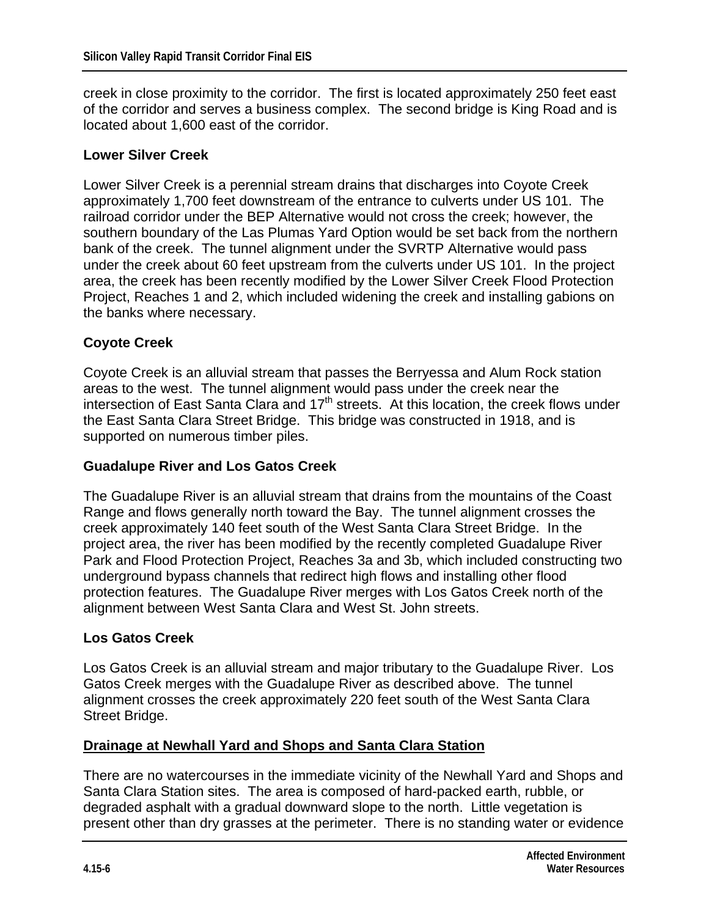creek in close proximity to the corridor. The first is located approximately 250 feet east of the corridor and serves a business complex. The second bridge is King Road and is located about 1,600 east of the corridor.

#### **Lower Silver Creek**

Lower Silver Creek is a perennial stream drains that discharges into Coyote Creek approximately 1,700 feet downstream of the entrance to culverts under US 101. The railroad corridor under the BEP Alternative would not cross the creek; however, the southern boundary of the Las Plumas Yard Option would be set back from the northern bank of the creek. The tunnel alignment under the SVRTP Alternative would pass under the creek about 60 feet upstream from the culverts under US 101. In the project area, the creek has been recently modified by the Lower Silver Creek Flood Protection Project, Reaches 1 and 2, which included widening the creek and installing gabions on the banks where necessary.

#### **Coyote Creek**

Coyote Creek is an alluvial stream that passes the Berryessa and Alum Rock station areas to the west. The tunnel alignment would pass under the creek near the intersection of East Santa Clara and  $17<sup>th</sup>$  streets. At this location, the creek flows under the East Santa Clara Street Bridge. This bridge was constructed in 1918, and is supported on numerous timber piles.

#### **Guadalupe River and Los Gatos Creek**

The Guadalupe River is an alluvial stream that drains from the mountains of the Coast Range and flows generally north toward the Bay. The tunnel alignment crosses the creek approximately 140 feet south of the West Santa Clara Street Bridge. In the project area, the river has been modified by the recently completed Guadalupe River Park and Flood Protection Project, Reaches 3a and 3b, which included constructing two underground bypass channels that redirect high flows and installing other flood protection features. The Guadalupe River merges with Los Gatos Creek north of the alignment between West Santa Clara and West St. John streets.

#### **Los Gatos Creek**

Los Gatos Creek is an alluvial stream and major tributary to the Guadalupe River. Los Gatos Creek merges with the Guadalupe River as described above. The tunnel alignment crosses the creek approximately 220 feet south of the West Santa Clara Street Bridge.

#### **Drainage at Newhall Yard and Shops and Santa Clara Station**

There are no watercourses in the immediate vicinity of the Newhall Yard and Shops and Santa Clara Station sites. The area is composed of hard-packed earth, rubble, or degraded asphalt with a gradual downward slope to the north. Little vegetation is present other than dry grasses at the perimeter. There is no standing water or evidence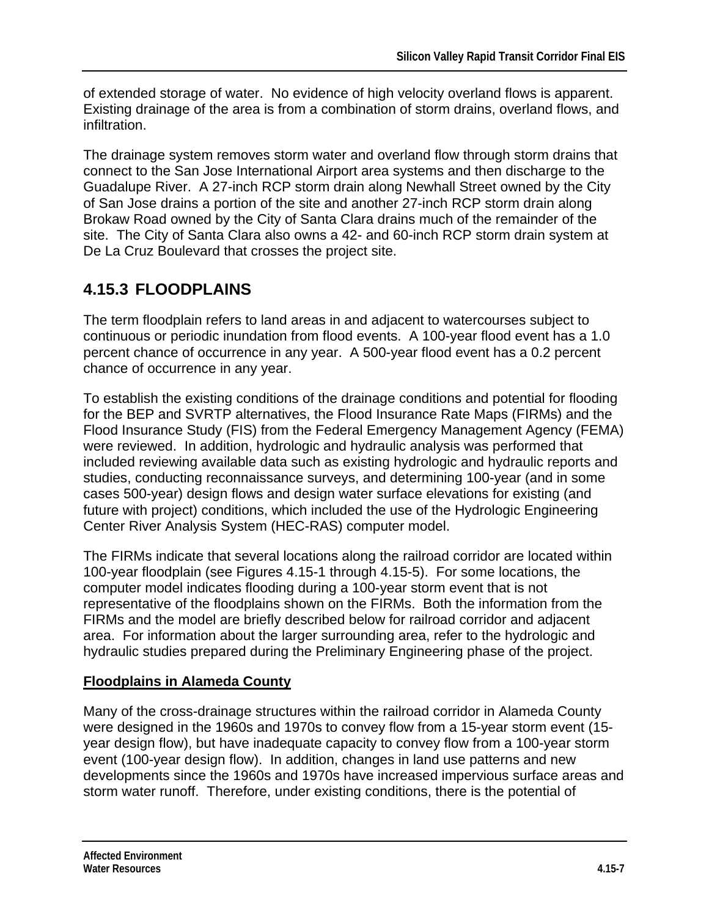of extended storage of water. No evidence of high velocity overland flows is apparent. Existing drainage of the area is from a combination of storm drains, overland flows, and infiltration.

The drainage system removes storm water and overland flow through storm drains that connect to the San Jose International Airport area systems and then discharge to the Guadalupe River. A 27-inch RCP storm drain along Newhall Street owned by the City of San Jose drains a portion of the site and another 27-inch RCP storm drain along Brokaw Road owned by the City of Santa Clara drains much of the remainder of the site. The City of Santa Clara also owns a 42- and 60-inch RCP storm drain system at De La Cruz Boulevard that crosses the project site.

# **4.15.3 FLOODPLAINS**

The term floodplain refers to land areas in and adjacent to watercourses subject to continuous or periodic inundation from flood events. A 100-year flood event has a 1.0 percent chance of occurrence in any year. A 500-year flood event has a 0.2 percent chance of occurrence in any year.

To establish the existing conditions of the drainage conditions and potential for flooding for the BEP and SVRTP alternatives, the Flood Insurance Rate Maps (FIRMs) and the Flood Insurance Study (FIS) from the Federal Emergency Management Agency (FEMA) were reviewed. In addition, hydrologic and hydraulic analysis was performed that included reviewing available data such as existing hydrologic and hydraulic reports and studies, conducting reconnaissance surveys, and determining 100-year (and in some cases 500-year) design flows and design water surface elevations for existing (and future with project) conditions, which included the use of the Hydrologic Engineering Center River Analysis System (HEC-RAS) computer model.

The FIRMs indicate that several locations along the railroad corridor are located within 100-year floodplain (see Figures 4.15-1 through 4.15-5). For some locations, the computer model indicates flooding during a 100-year storm event that is not representative of the floodplains shown on the FIRMs. Both the information from the FIRMs and the model are briefly described below for railroad corridor and adjacent area. For information about the larger surrounding area, refer to the hydrologic and hydraulic studies prepared during the Preliminary Engineering phase of the project.

## **Floodplains in Alameda County**

Many of the cross-drainage structures within the railroad corridor in Alameda County were designed in the 1960s and 1970s to convey flow from a 15-year storm event (15 year design flow), but have inadequate capacity to convey flow from a 100-year storm event (100-year design flow). In addition, changes in land use patterns and new developments since the 1960s and 1970s have increased impervious surface areas and storm water runoff. Therefore, under existing conditions, there is the potential of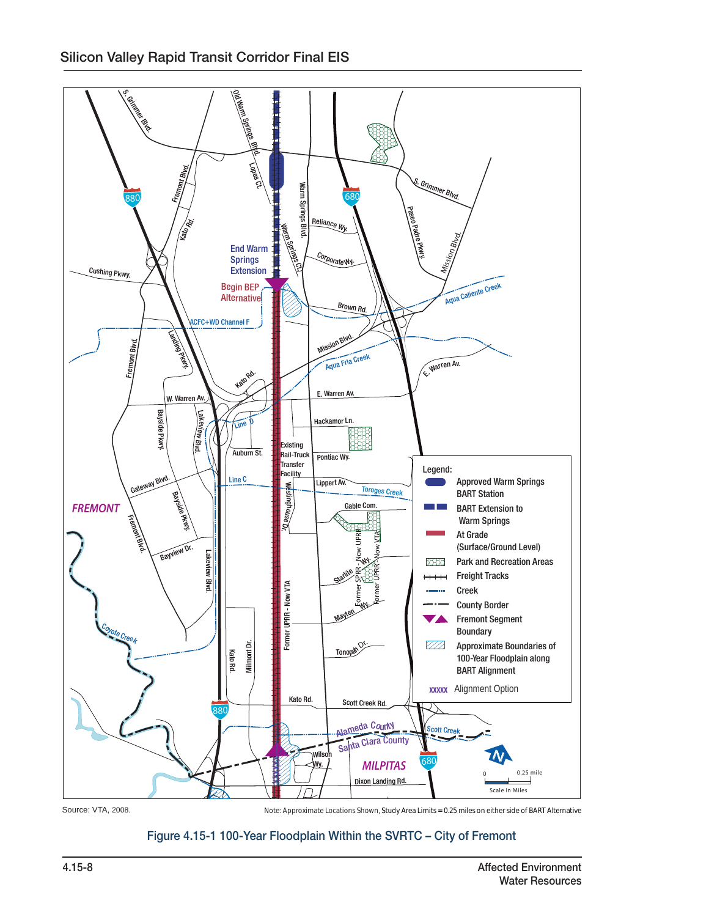

Source: VTA, 2008.

Note: Approximate Locations Shown, Study Area Limits = 0.25 miles on either side of BART Alternative<br>

#### -Year Floodplain Within the SVRTC 5. <sup>M</sup><sup>i</sup>dwic<sup>k</sup> <sup>D</sup>r. San Andreas Dr. Pescadero St. Figure 4.15-1 100-Year Floodplain Within the SVRTC – City of Fremont

Hanson Ct.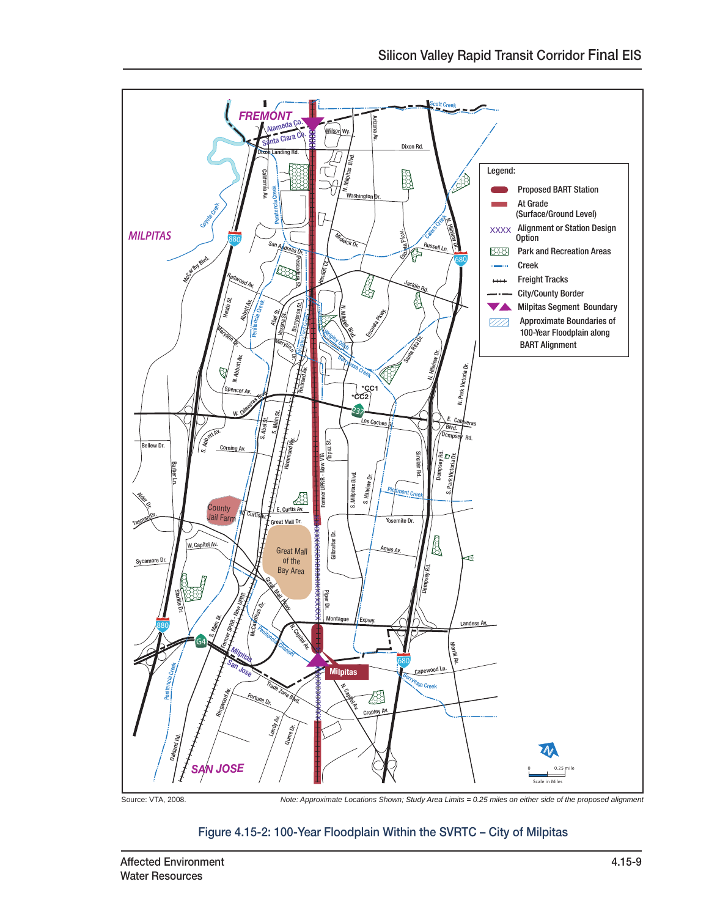

Figure 4.15-2: 100-Year Floodplain Within the SVRTC – City of Milpitas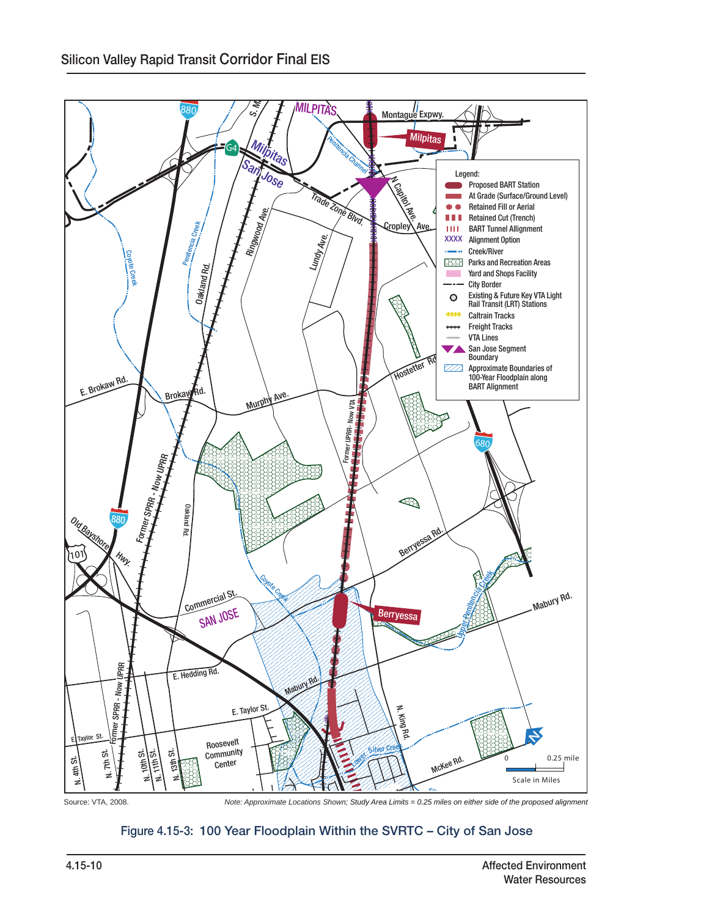

N. 28th St.

# Figure 4.15-3: 100 Year Floodplain Within the SVRTC – City of San Jose

N. 24th St.

130

Alum Rock Ave.

E. St. James St.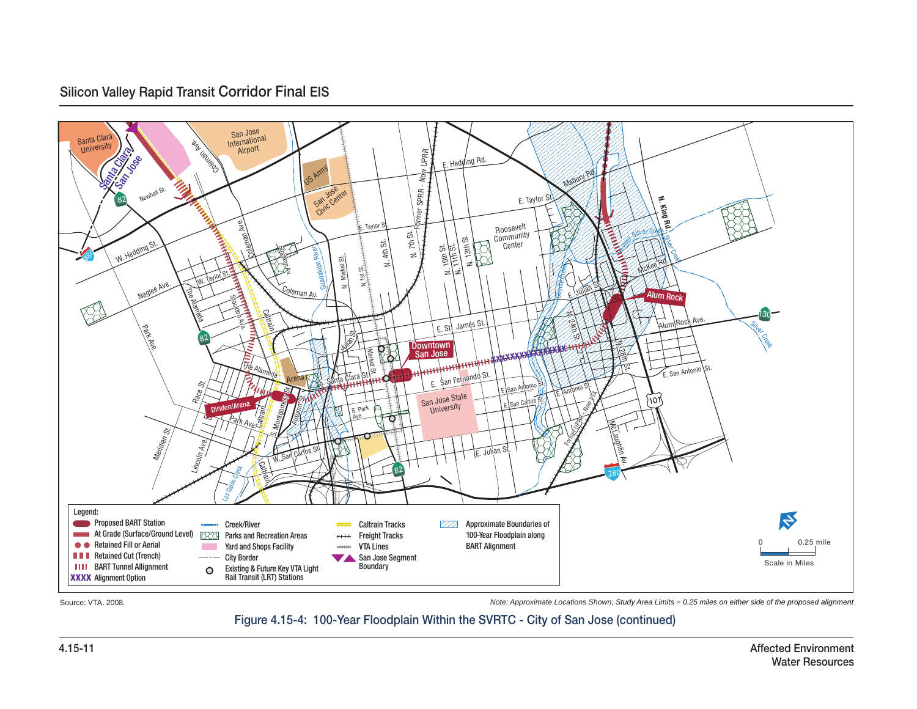#### Silicon Valley Rapid Transit Corridor Final EIS



Source: VTA, 2008.

*Note: Approximate Locations Shown; Study Area Limits = 0.25 miles on either side of the proposed alignment*

#### Figure 4.15-4: 100-Year Floodplain Within the SVRTC - City of San Jose (continued)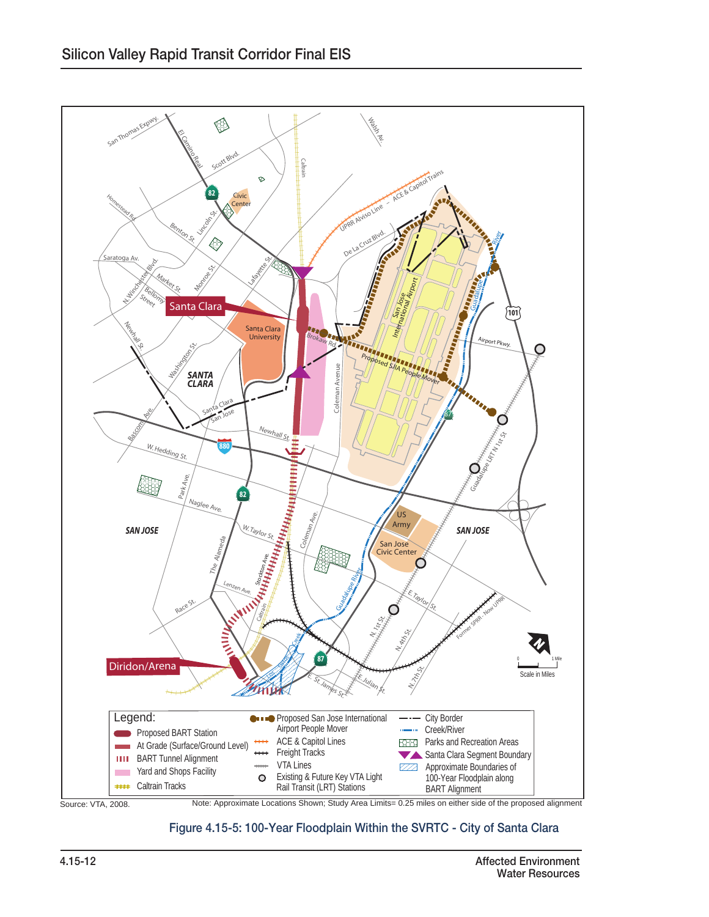

#### Figure 4.15-5: 100-Year Floodplain Within the SVRTC - City of Santa Clara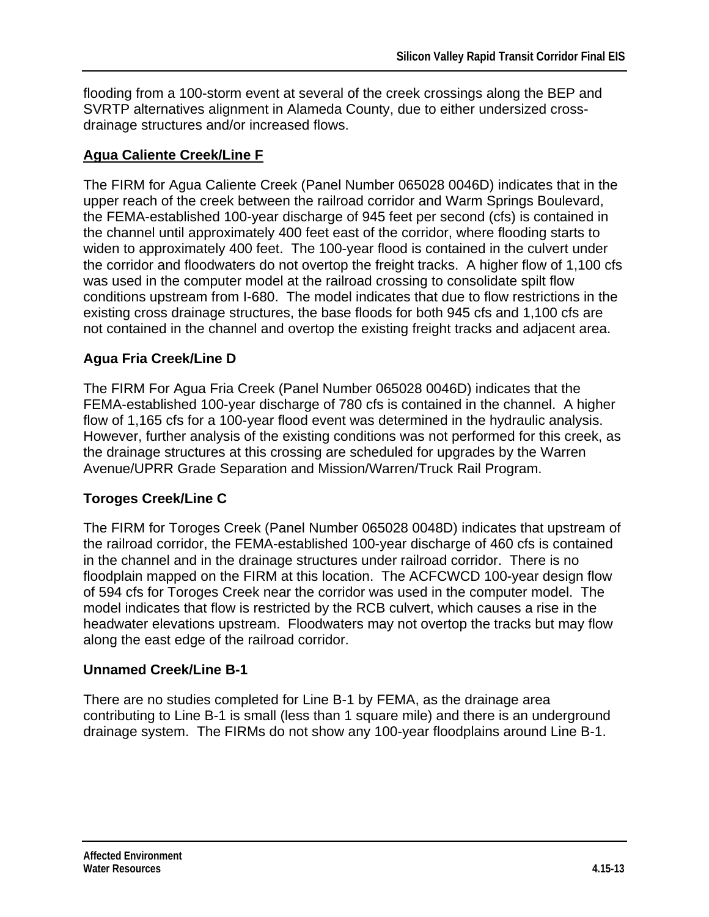flooding from a 100-storm event at several of the creek crossings along the BEP and SVRTP alternatives alignment in Alameda County, due to either undersized crossdrainage structures and/or increased flows.

## **Agua Caliente Creek/Line F**

The FIRM for Agua Caliente Creek (Panel Number 065028 0046D) indicates that in the upper reach of the creek between the railroad corridor and Warm Springs Boulevard, the FEMA-established 100-year discharge of 945 feet per second (cfs) is contained in the channel until approximately 400 feet east of the corridor, where flooding starts to widen to approximately 400 feet. The 100-year flood is contained in the culvert under the corridor and floodwaters do not overtop the freight tracks. A higher flow of 1,100 cfs was used in the computer model at the railroad crossing to consolidate spilt flow conditions upstream from I-680. The model indicates that due to flow restrictions in the existing cross drainage structures, the base floods for both 945 cfs and 1,100 cfs are not contained in the channel and overtop the existing freight tracks and adjacent area.

## **Agua Fria Creek/Line D**

The FIRM For Agua Fria Creek (Panel Number 065028 0046D) indicates that the FEMA-established 100-year discharge of 780 cfs is contained in the channel. A higher flow of 1,165 cfs for a 100-year flood event was determined in the hydraulic analysis. However, further analysis of the existing conditions was not performed for this creek, as the drainage structures at this crossing are scheduled for upgrades by the Warren Avenue/UPRR Grade Separation and Mission/Warren/Truck Rail Program.

## **Toroges Creek/Line C**

The FIRM for Toroges Creek (Panel Number 065028 0048D) indicates that upstream of the railroad corridor, the FEMA-established 100-year discharge of 460 cfs is contained in the channel and in the drainage structures under railroad corridor. There is no floodplain mapped on the FIRM at this location. The ACFCWCD 100-year design flow of 594 cfs for Toroges Creek near the corridor was used in the computer model. The model indicates that flow is restricted by the RCB culvert, which causes a rise in the headwater elevations upstream. Floodwaters may not overtop the tracks but may flow along the east edge of the railroad corridor.

## **Unnamed Creek/Line B-1**

There are no studies completed for Line B-1 by FEMA, as the drainage area contributing to Line B-1 is small (less than 1 square mile) and there is an underground drainage system. The FIRMs do not show any 100-year floodplains around Line B-1.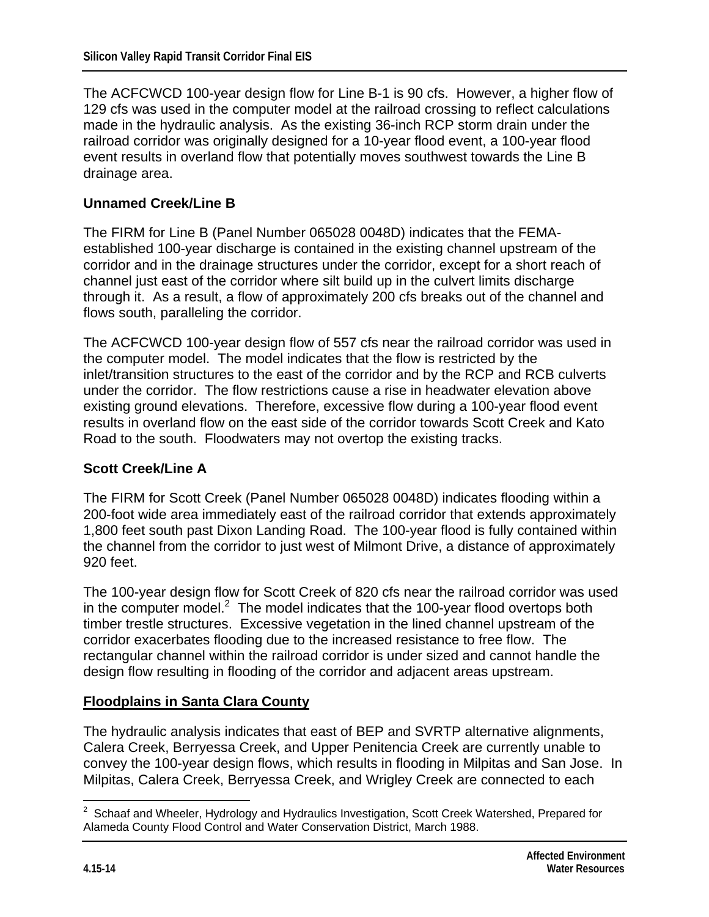The ACFCWCD 100-year design flow for Line B-1 is 90 cfs. However, a higher flow of 129 cfs was used in the computer model at the railroad crossing to reflect calculations made in the hydraulic analysis. As the existing 36-inch RCP storm drain under the railroad corridor was originally designed for a 10-year flood event, a 100-year flood event results in overland flow that potentially moves southwest towards the Line B drainage area.

#### **Unnamed Creek/Line B**

The FIRM for Line B (Panel Number 065028 0048D) indicates that the FEMAestablished 100-year discharge is contained in the existing channel upstream of the corridor and in the drainage structures under the corridor, except for a short reach of channel just east of the corridor where silt build up in the culvert limits discharge through it. As a result, a flow of approximately 200 cfs breaks out of the channel and flows south, paralleling the corridor.

The ACFCWCD 100-year design flow of 557 cfs near the railroad corridor was used in the computer model. The model indicates that the flow is restricted by the inlet/transition structures to the east of the corridor and by the RCP and RCB culverts under the corridor. The flow restrictions cause a rise in headwater elevation above existing ground elevations. Therefore, excessive flow during a 100-year flood event results in overland flow on the east side of the corridor towards Scott Creek and Kato Road to the south. Floodwaters may not overtop the existing tracks.

## **Scott Creek/Line A**

The FIRM for Scott Creek (Panel Number 065028 0048D) indicates flooding within a 200-foot wide area immediately east of the railroad corridor that extends approximately 1,800 feet south past Dixon Landing Road. The 100-year flood is fully contained within the channel from the corridor to just west of Milmont Drive, a distance of approximately 920 feet.

The 100-year design flow for Scott Creek of 820 cfs near the railroad corridor was used in the computer model. $2$  The model indicates that the 100-year flood overtops both timber trestle structures. Excessive vegetation in the lined channel upstream of the corridor exacerbates flooding due to the increased resistance to free flow. The rectangular channel within the railroad corridor is under sized and cannot handle the design flow resulting in flooding of the corridor and adjacent areas upstream.

## **Floodplains in Santa Clara County**

The hydraulic analysis indicates that east of BEP and SVRTP alternative alignments, Calera Creek, Berryessa Creek, and Upper Penitencia Creek are currently unable to convey the 100-year design flows, which results in flooding in Milpitas and San Jose. In Milpitas, Calera Creek, Berryessa Creek, and Wrigley Creek are connected to each

 2 Schaaf and Wheeler, Hydrology and Hydraulics Investigation, Scott Creek Watershed, Prepared for Alameda County Flood Control and Water Conservation District, March 1988.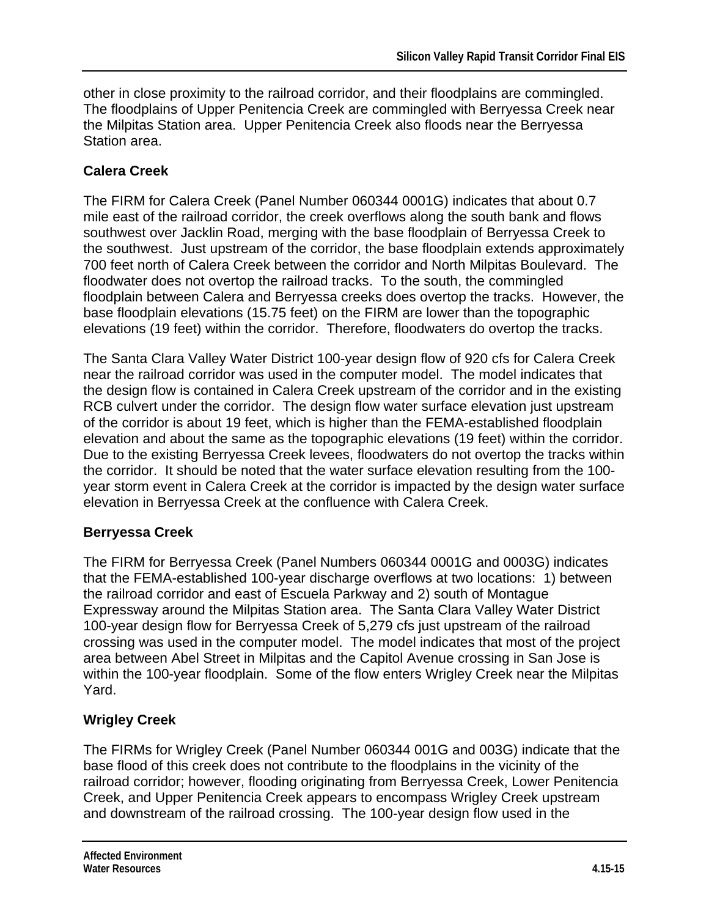other in close proximity to the railroad corridor, and their floodplains are commingled. The floodplains of Upper Penitencia Creek are commingled with Berryessa Creek near the Milpitas Station area. Upper Penitencia Creek also floods near the Berryessa Station area.

## **Calera Creek**

The FIRM for Calera Creek (Panel Number 060344 0001G) indicates that about 0.7 mile east of the railroad corridor, the creek overflows along the south bank and flows southwest over Jacklin Road, merging with the base floodplain of Berryessa Creek to the southwest. Just upstream of the corridor, the base floodplain extends approximately 700 feet north of Calera Creek between the corridor and North Milpitas Boulevard. The floodwater does not overtop the railroad tracks. To the south, the commingled floodplain between Calera and Berryessa creeks does overtop the tracks. However, the base floodplain elevations (15.75 feet) on the FIRM are lower than the topographic elevations (19 feet) within the corridor. Therefore, floodwaters do overtop the tracks.

The Santa Clara Valley Water District 100-year design flow of 920 cfs for Calera Creek near the railroad corridor was used in the computer model. The model indicates that the design flow is contained in Calera Creek upstream of the corridor and in the existing RCB culvert under the corridor. The design flow water surface elevation just upstream of the corridor is about 19 feet, which is higher than the FEMA-established floodplain elevation and about the same as the topographic elevations (19 feet) within the corridor. Due to the existing Berryessa Creek levees, floodwaters do not overtop the tracks within the corridor. It should be noted that the water surface elevation resulting from the 100 year storm event in Calera Creek at the corridor is impacted by the design water surface elevation in Berryessa Creek at the confluence with Calera Creek.

## **Berryessa Creek**

The FIRM for Berryessa Creek (Panel Numbers 060344 0001G and 0003G) indicates that the FEMA-established 100-year discharge overflows at two locations: 1) between the railroad corridor and east of Escuela Parkway and 2) south of Montague Expressway around the Milpitas Station area. The Santa Clara Valley Water District 100-year design flow for Berryessa Creek of 5,279 cfs just upstream of the railroad crossing was used in the computer model. The model indicates that most of the project area between Abel Street in Milpitas and the Capitol Avenue crossing in San Jose is within the 100-year floodplain. Some of the flow enters Wrigley Creek near the Milpitas Yard.

## **Wrigley Creek**

The FIRMs for Wrigley Creek (Panel Number 060344 001G and 003G) indicate that the base flood of this creek does not contribute to the floodplains in the vicinity of the railroad corridor; however, flooding originating from Berryessa Creek, Lower Penitencia Creek, and Upper Penitencia Creek appears to encompass Wrigley Creek upstream and downstream of the railroad crossing. The 100-year design flow used in the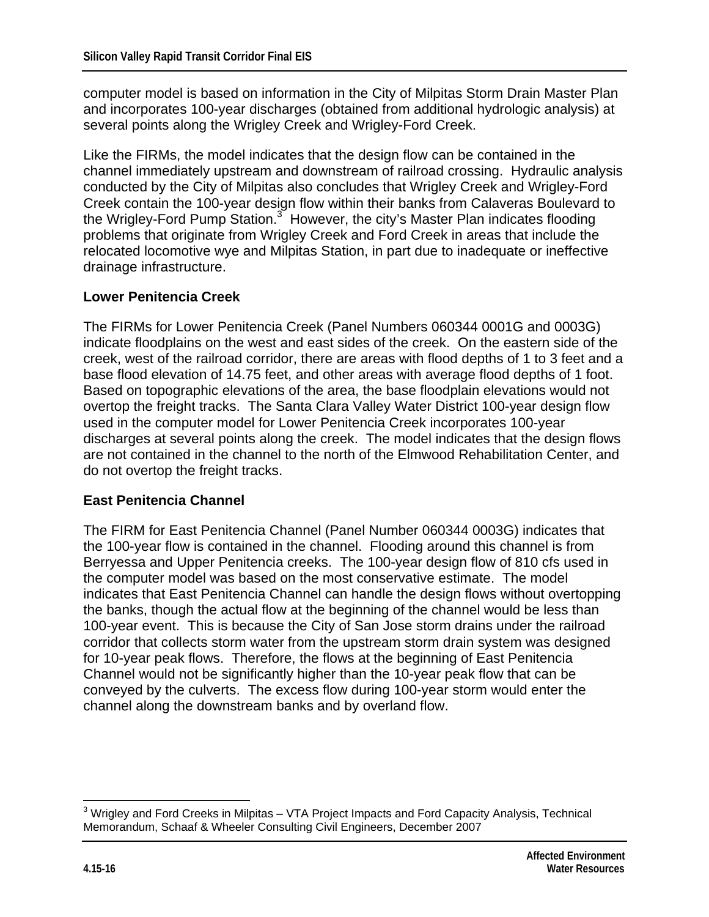computer model is based on information in the City of Milpitas Storm Drain Master Plan and incorporates 100-year discharges (obtained from additional hydrologic analysis) at several points along the Wrigley Creek and Wrigley-Ford Creek.

Like the FIRMs, the model indicates that the design flow can be contained in the channel immediately upstream and downstream of railroad crossing. Hydraulic analysis conducted by the City of Milpitas also concludes that Wrigley Creek and Wrigley-Ford Creek contain the 100-year design flow within their banks from Calaveras Boulevard to the Wrigley-Ford Pump Station.<sup>3</sup> However, the city's Master Plan indicates flooding problems that originate from Wrigley Creek and Ford Creek in areas that include the relocated locomotive wye and Milpitas Station, in part due to inadequate or ineffective drainage infrastructure.

#### **Lower Penitencia Creek**

The FIRMs for Lower Penitencia Creek (Panel Numbers 060344 0001G and 0003G) indicate floodplains on the west and east sides of the creek. On the eastern side of the creek, west of the railroad corridor, there are areas with flood depths of 1 to 3 feet and a base flood elevation of 14.75 feet, and other areas with average flood depths of 1 foot. Based on topographic elevations of the area, the base floodplain elevations would not overtop the freight tracks. The Santa Clara Valley Water District 100-year design flow used in the computer model for Lower Penitencia Creek incorporates 100-year discharges at several points along the creek. The model indicates that the design flows are not contained in the channel to the north of the Elmwood Rehabilitation Center, and do not overtop the freight tracks.

#### **East Penitencia Channel**

The FIRM for East Penitencia Channel (Panel Number 060344 0003G) indicates that the 100-year flow is contained in the channel. Flooding around this channel is from Berryessa and Upper Penitencia creeks. The 100-year design flow of 810 cfs used in the computer model was based on the most conservative estimate. The model indicates that East Penitencia Channel can handle the design flows without overtopping the banks, though the actual flow at the beginning of the channel would be less than 100-year event. This is because the City of San Jose storm drains under the railroad corridor that collects storm water from the upstream storm drain system was designed for 10-year peak flows. Therefore, the flows at the beginning of East Penitencia Channel would not be significantly higher than the 10-year peak flow that can be conveyed by the culverts. The excess flow during 100-year storm would enter the channel along the downstream banks and by overland flow.

 3 Wrigley and Ford Creeks in Milpitas – VTA Project Impacts and Ford Capacity Analysis, Technical Memorandum, Schaaf & Wheeler Consulting Civil Engineers, December 2007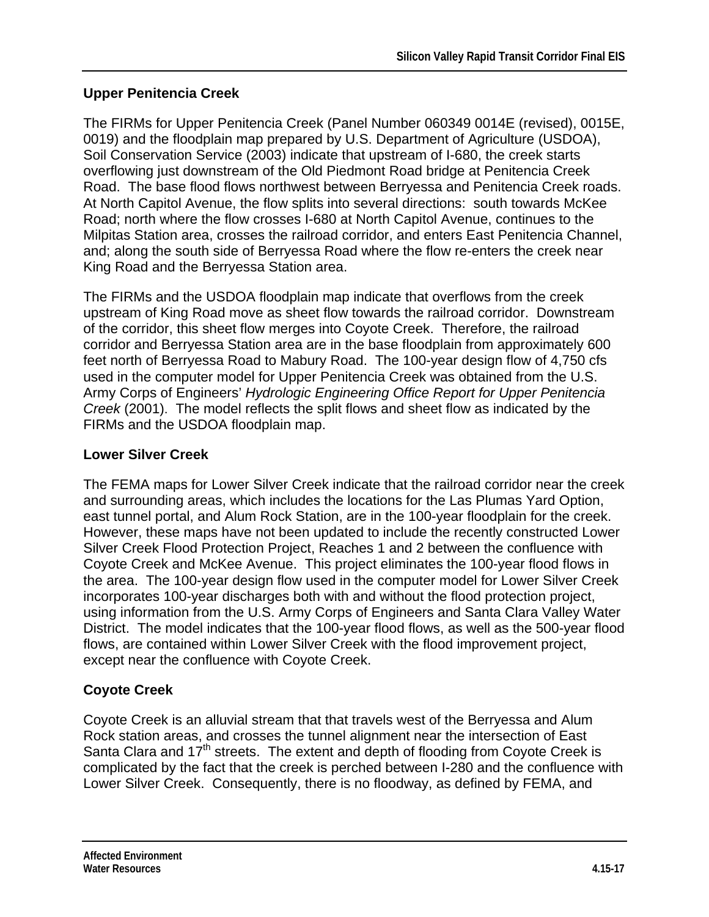## **Upper Penitencia Creek**

The FIRMs for Upper Penitencia Creek (Panel Number 060349 0014E (revised), 0015E, 0019) and the floodplain map prepared by U.S. Department of Agriculture (USDOA), Soil Conservation Service (2003) indicate that upstream of I-680, the creek starts overflowing just downstream of the Old Piedmont Road bridge at Penitencia Creek Road. The base flood flows northwest between Berryessa and Penitencia Creek roads. At North Capitol Avenue, the flow splits into several directions: south towards McKee Road; north where the flow crosses I-680 at North Capitol Avenue, continues to the Milpitas Station area, crosses the railroad corridor, and enters East Penitencia Channel, and; along the south side of Berryessa Road where the flow re-enters the creek near King Road and the Berryessa Station area.

The FIRMs and the USDOA floodplain map indicate that overflows from the creek upstream of King Road move as sheet flow towards the railroad corridor. Downstream of the corridor, this sheet flow merges into Coyote Creek. Therefore, the railroad corridor and Berryessa Station area are in the base floodplain from approximately 600 feet north of Berryessa Road to Mabury Road. The 100-year design flow of 4,750 cfs used in the computer model for Upper Penitencia Creek was obtained from the U.S. Army Corps of Engineers' *Hydrologic Engineering Office Report for Upper Penitencia Creek* (2001). The model reflects the split flows and sheet flow as indicated by the FIRMs and the USDOA floodplain map.

## **Lower Silver Creek**

The FEMA maps for Lower Silver Creek indicate that the railroad corridor near the creek and surrounding areas, which includes the locations for the Las Plumas Yard Option, east tunnel portal, and Alum Rock Station, are in the 100-year floodplain for the creek. However, these maps have not been updated to include the recently constructed Lower Silver Creek Flood Protection Project, Reaches 1 and 2 between the confluence with Coyote Creek and McKee Avenue. This project eliminates the 100-year flood flows in the area. The 100-year design flow used in the computer model for Lower Silver Creek incorporates 100-year discharges both with and without the flood protection project, using information from the U.S. Army Corps of Engineers and Santa Clara Valley Water District. The model indicates that the 100-year flood flows, as well as the 500-year flood flows, are contained within Lower Silver Creek with the flood improvement project, except near the confluence with Coyote Creek.

## **Coyote Creek**

Coyote Creek is an alluvial stream that that travels west of the Berryessa and Alum Rock station areas, and crosses the tunnel alignment near the intersection of East Santa Clara and 17<sup>th</sup> streets. The extent and depth of flooding from Coyote Creek is complicated by the fact that the creek is perched between I-280 and the confluence with Lower Silver Creek. Consequently, there is no floodway, as defined by FEMA, and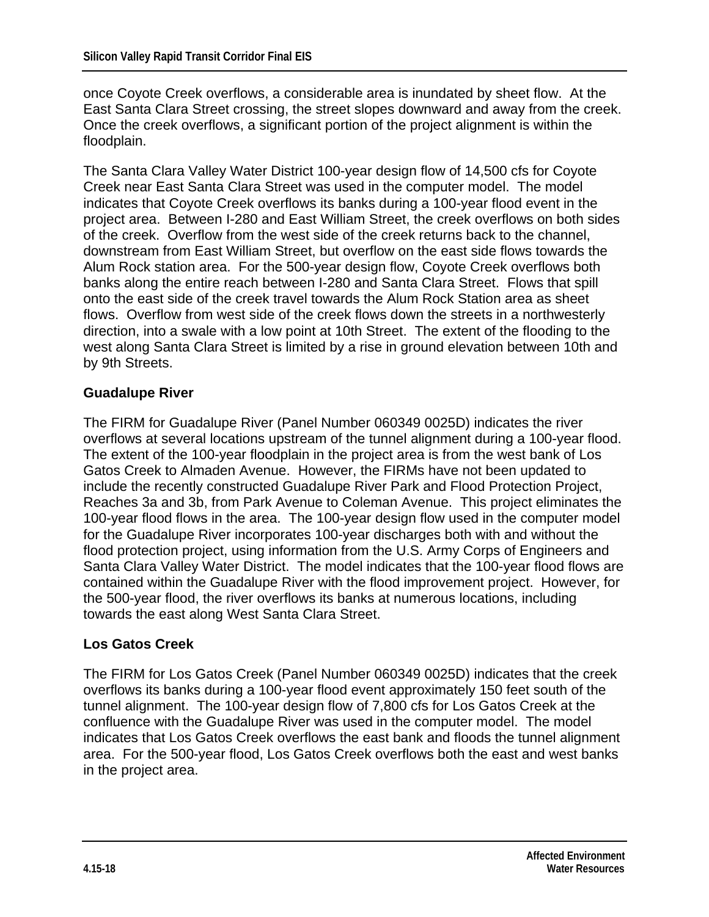once Coyote Creek overflows, a considerable area is inundated by sheet flow. At the East Santa Clara Street crossing, the street slopes downward and away from the creek. Once the creek overflows, a significant portion of the project alignment is within the floodplain.

The Santa Clara Valley Water District 100-year design flow of 14,500 cfs for Coyote Creek near East Santa Clara Street was used in the computer model. The model indicates that Coyote Creek overflows its banks during a 100-year flood event in the project area. Between I-280 and East William Street, the creek overflows on both sides of the creek. Overflow from the west side of the creek returns back to the channel, downstream from East William Street, but overflow on the east side flows towards the Alum Rock station area. For the 500-year design flow, Coyote Creek overflows both banks along the entire reach between I-280 and Santa Clara Street. Flows that spill onto the east side of the creek travel towards the Alum Rock Station area as sheet flows. Overflow from west side of the creek flows down the streets in a northwesterly direction, into a swale with a low point at 10th Street. The extent of the flooding to the west along Santa Clara Street is limited by a rise in ground elevation between 10th and by 9th Streets.

#### **Guadalupe River**

The FIRM for Guadalupe River (Panel Number 060349 0025D) indicates the river overflows at several locations upstream of the tunnel alignment during a 100-year flood. The extent of the 100-year floodplain in the project area is from the west bank of Los Gatos Creek to Almaden Avenue. However, the FIRMs have not been updated to include the recently constructed Guadalupe River Park and Flood Protection Project, Reaches 3a and 3b, from Park Avenue to Coleman Avenue. This project eliminates the 100-year flood flows in the area. The 100-year design flow used in the computer model for the Guadalupe River incorporates 100-year discharges both with and without the flood protection project, using information from the U.S. Army Corps of Engineers and Santa Clara Valley Water District. The model indicates that the 100-year flood flows are contained within the Guadalupe River with the flood improvement project. However, for the 500-year flood, the river overflows its banks at numerous locations, including towards the east along West Santa Clara Street.

#### **Los Gatos Creek**

The FIRM for Los Gatos Creek (Panel Number 060349 0025D) indicates that the creek overflows its banks during a 100-year flood event approximately 150 feet south of the tunnel alignment. The 100-year design flow of 7,800 cfs for Los Gatos Creek at the confluence with the Guadalupe River was used in the computer model. The model indicates that Los Gatos Creek overflows the east bank and floods the tunnel alignment area. For the 500-year flood, Los Gatos Creek overflows both the east and west banks in the project area.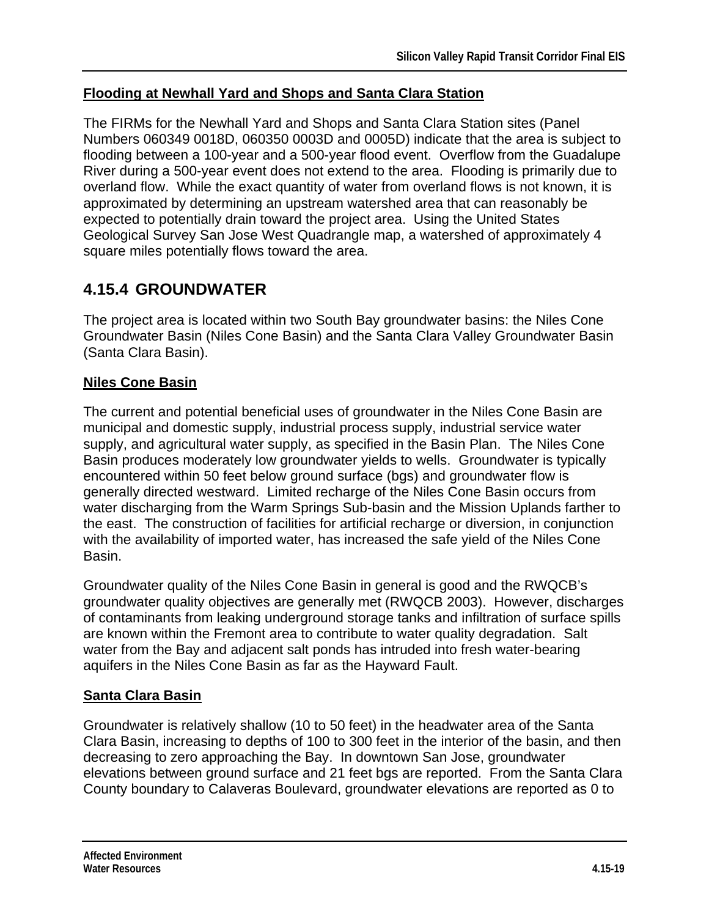## **Flooding at Newhall Yard and Shops and Santa Clara Station**

The FIRMs for the Newhall Yard and Shops and Santa Clara Station sites (Panel Numbers 060349 0018D, 060350 0003D and 0005D) indicate that the area is subject to flooding between a 100-year and a 500-year flood event. Overflow from the Guadalupe River during a 500-year event does not extend to the area. Flooding is primarily due to overland flow. While the exact quantity of water from overland flows is not known, it is approximated by determining an upstream watershed area that can reasonably be expected to potentially drain toward the project area. Using the United States Geological Survey San Jose West Quadrangle map, a watershed of approximately 4 square miles potentially flows toward the area.

## **4.15.4 GROUNDWATER**

The project area is located within two South Bay groundwater basins: the Niles Cone Groundwater Basin (Niles Cone Basin) and the Santa Clara Valley Groundwater Basin (Santa Clara Basin).

## **Niles Cone Basin**

The current and potential beneficial uses of groundwater in the Niles Cone Basin are municipal and domestic supply, industrial process supply, industrial service water supply, and agricultural water supply, as specified in the Basin Plan. The Niles Cone Basin produces moderately low groundwater yields to wells. Groundwater is typically encountered within 50 feet below ground surface (bgs) and groundwater flow is generally directed westward. Limited recharge of the Niles Cone Basin occurs from water discharging from the Warm Springs Sub-basin and the Mission Uplands farther to the east. The construction of facilities for artificial recharge or diversion, in conjunction with the availability of imported water, has increased the safe yield of the Niles Cone Basin.

Groundwater quality of the Niles Cone Basin in general is good and the RWQCB's groundwater quality objectives are generally met (RWQCB 2003). However, discharges of contaminants from leaking underground storage tanks and infiltration of surface spills are known within the Fremont area to contribute to water quality degradation. Salt water from the Bay and adjacent salt ponds has intruded into fresh water-bearing aquifers in the Niles Cone Basin as far as the Hayward Fault.

## **Santa Clara Basin**

Groundwater is relatively shallow (10 to 50 feet) in the headwater area of the Santa Clara Basin, increasing to depths of 100 to 300 feet in the interior of the basin, and then decreasing to zero approaching the Bay. In downtown San Jose, groundwater elevations between ground surface and 21 feet bgs are reported. From the Santa Clara County boundary to Calaveras Boulevard, groundwater elevations are reported as 0 to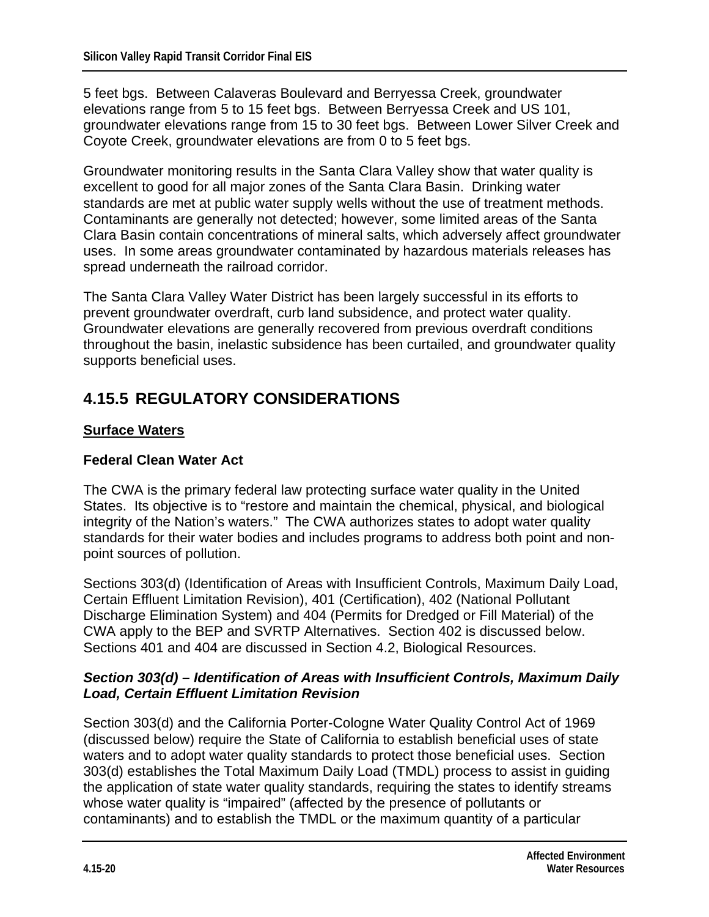5 feet bgs. Between Calaveras Boulevard and Berryessa Creek, groundwater elevations range from 5 to 15 feet bgs. Between Berryessa Creek and US 101, groundwater elevations range from 15 to 30 feet bgs. Between Lower Silver Creek and Coyote Creek, groundwater elevations are from 0 to 5 feet bgs.

Groundwater monitoring results in the Santa Clara Valley show that water quality is excellent to good for all major zones of the Santa Clara Basin. Drinking water standards are met at public water supply wells without the use of treatment methods. Contaminants are generally not detected; however, some limited areas of the Santa Clara Basin contain concentrations of mineral salts, which adversely affect groundwater uses. In some areas groundwater contaminated by hazardous materials releases has spread underneath the railroad corridor.

The Santa Clara Valley Water District has been largely successful in its efforts to prevent groundwater overdraft, curb land subsidence, and protect water quality. Groundwater elevations are generally recovered from previous overdraft conditions throughout the basin, inelastic subsidence has been curtailed, and groundwater quality supports beneficial uses.

# **4.15.5 REGULATORY CONSIDERATIONS**

#### **Surface Waters**

#### **Federal Clean Water Act**

The CWA is the primary federal law protecting surface water quality in the United States. Its objective is to "restore and maintain the chemical, physical, and biological integrity of the Nation's waters." The CWA authorizes states to adopt water quality standards for their water bodies and includes programs to address both point and nonpoint sources of pollution.

Sections 303(d) (Identification of Areas with Insufficient Controls, Maximum Daily Load, Certain Effluent Limitation Revision), 401 (Certification), 402 (National Pollutant Discharge Elimination System) and 404 (Permits for Dredged or Fill Material) of the CWA apply to the BEP and SVRTP Alternatives. Section 402 is discussed below. Sections 401 and 404 are discussed in Section 4.2, Biological Resources.

#### *Section 303(d) – Identification of Areas with Insufficient Controls, Maximum Daily Load, Certain Effluent Limitation Revision*

Section 303(d) and the California Porter-Cologne Water Quality Control Act of 1969 (discussed below) require the State of California to establish beneficial uses of state waters and to adopt water quality standards to protect those beneficial uses. Section 303(d) establishes the Total Maximum Daily Load (TMDL) process to assist in guiding the application of state water quality standards, requiring the states to identify streams whose water quality is "impaired" (affected by the presence of pollutants or contaminants) and to establish the TMDL or the maximum quantity of a particular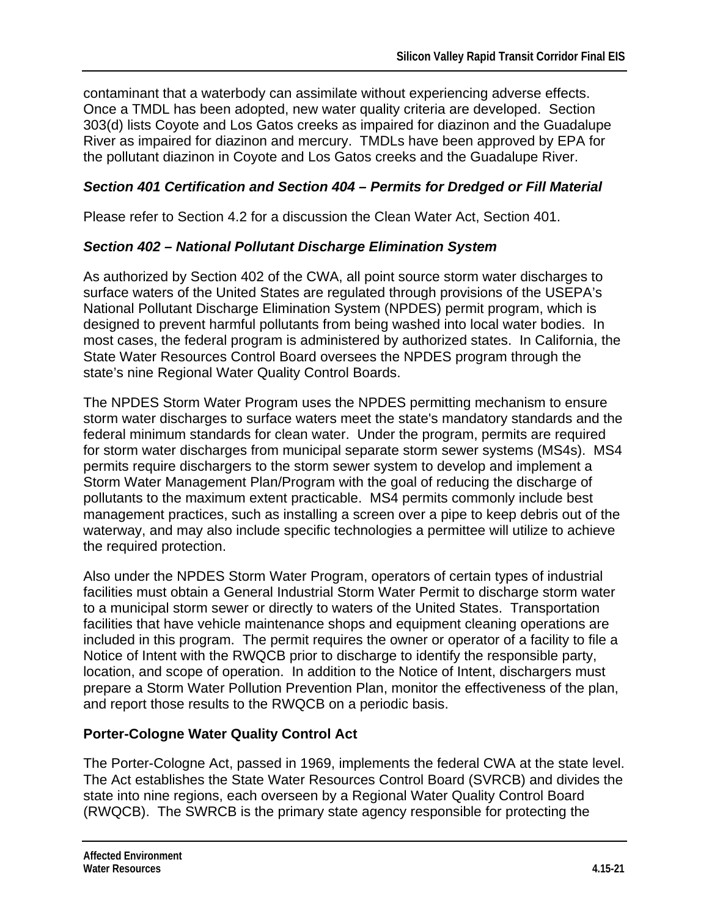contaminant that a waterbody can assimilate without experiencing adverse effects. Once a TMDL has been adopted, new water quality criteria are developed. Section 303(d) lists Coyote and Los Gatos creeks as impaired for diazinon and the Guadalupe River as impaired for diazinon and mercury. TMDLs have been approved by EPA for the pollutant diazinon in Coyote and Los Gatos creeks and the Guadalupe River.

## *Section 401 Certification and Section 404 – Permits for Dredged or Fill Material*

Please refer to Section 4.2 for a discussion the Clean Water Act, Section 401.

## *Section 402 – National Pollutant Discharge Elimination System*

As authorized by Section 402 of the CWA, all point source storm water discharges to surface waters of the United States are regulated through provisions of the USEPA's National Pollutant Discharge Elimination System (NPDES) permit program, which is designed to prevent harmful pollutants from being washed into local water bodies. In most cases, the federal program is administered by authorized states. In California, the State Water Resources Control Board oversees the NPDES program through the state's nine Regional Water Quality Control Boards.

The NPDES Storm Water Program uses the NPDES permitting mechanism to ensure storm water discharges to surface waters meet the state's mandatory standards and the federal minimum standards for clean water. Under the program, permits are required for storm water discharges from municipal separate storm sewer systems (MS4s). MS4 permits require dischargers to the storm sewer system to develop and implement a Storm Water Management Plan/Program with the goal of reducing the discharge of pollutants to the maximum extent practicable. MS4 permits commonly include best management practices, such as installing a screen over a pipe to keep debris out of the waterway, and may also include specific technologies a permittee will utilize to achieve the required protection.

Also under the NPDES Storm Water Program, operators of certain types of industrial facilities must obtain a General Industrial Storm Water Permit to discharge storm water to a municipal storm sewer or directly to waters of the United States. Transportation facilities that have vehicle maintenance shops and equipment cleaning operations are included in this program. The permit requires the owner or operator of a facility to file a Notice of Intent with the RWQCB prior to discharge to identify the responsible party, location, and scope of operation. In addition to the Notice of Intent, dischargers must prepare a Storm Water Pollution Prevention Plan, monitor the effectiveness of the plan, and report those results to the RWQCB on a periodic basis.

## **Porter-Cologne Water Quality Control Act**

The Porter-Cologne Act, passed in 1969, implements the federal CWA at the state level. The Act establishes the State Water Resources Control Board (SVRCB) and divides the state into nine regions, each overseen by a Regional Water Quality Control Board (RWQCB). The SWRCB is the primary state agency responsible for protecting the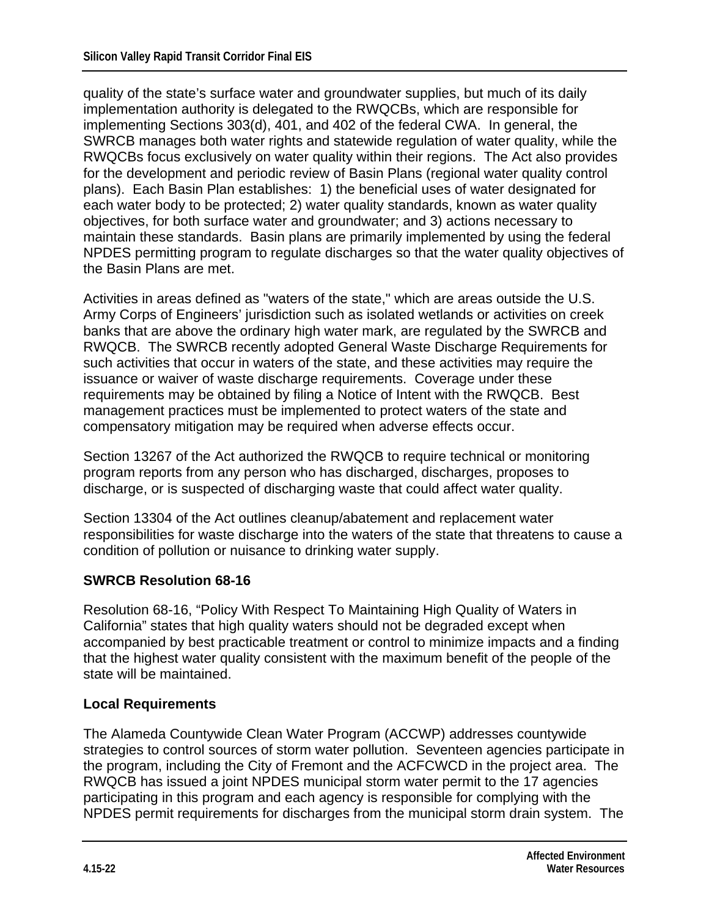quality of the state's surface water and groundwater supplies, but much of its daily implementation authority is delegated to the RWQCBs, which are responsible for implementing Sections 303(d), 401, and 402 of the federal CWA. In general, the SWRCB manages both water rights and statewide regulation of water quality, while the RWQCBs focus exclusively on water quality within their regions. The Act also provides for the development and periodic review of Basin Plans (regional water quality control plans). Each Basin Plan establishes: 1) the beneficial uses of water designated for each water body to be protected; 2) water quality standards, known as water quality objectives, for both surface water and groundwater; and 3) actions necessary to maintain these standards. Basin plans are primarily implemented by using the federal NPDES permitting program to regulate discharges so that the water quality objectives of the Basin Plans are met.

Activities in areas defined as "waters of the state," which are areas outside the U.S. Army Corps of Engineers' jurisdiction such as isolated wetlands or activities on creek banks that are above the ordinary high water mark, are regulated by the SWRCB and RWQCB. The SWRCB recently adopted General Waste Discharge Requirements for such activities that occur in waters of the state, and these activities may require the issuance or waiver of waste discharge requirements. Coverage under these requirements may be obtained by filing a Notice of Intent with the RWQCB. Best management practices must be implemented to protect waters of the state and compensatory mitigation may be required when adverse effects occur.

Section 13267 of the Act authorized the RWQCB to require technical or monitoring program reports from any person who has discharged, discharges, proposes to discharge, or is suspected of discharging waste that could affect water quality.

Section 13304 of the Act outlines cleanup/abatement and replacement water responsibilities for waste discharge into the waters of the state that threatens to cause a condition of pollution or nuisance to drinking water supply.

#### **SWRCB Resolution 68-16**

Resolution 68-16, "Policy With Respect To Maintaining High Quality of Waters in California" states that high quality waters should not be degraded except when accompanied by best practicable treatment or control to minimize impacts and a finding that the highest water quality consistent with the maximum benefit of the people of the state will be maintained.

#### **Local Requirements**

The Alameda Countywide Clean Water Program (ACCWP) addresses countywide strategies to control sources of storm water pollution. Seventeen agencies participate in the program, including the City of Fremont and the ACFCWCD in the project area. The RWQCB has issued a joint NPDES municipal storm water permit to the 17 agencies participating in this program and each agency is responsible for complying with the NPDES permit requirements for discharges from the municipal storm drain system. The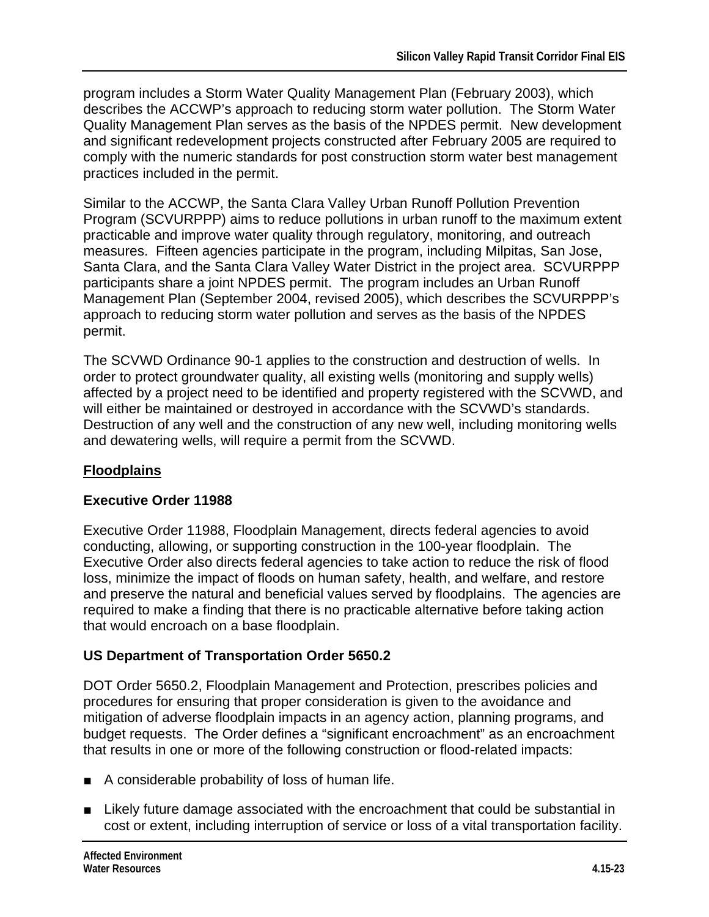program includes a Storm Water Quality Management Plan (February 2003), which describes the ACCWP's approach to reducing storm water pollution. The Storm Water Quality Management Plan serves as the basis of the NPDES permit. New development and significant redevelopment projects constructed after February 2005 are required to comply with the numeric standards for post construction storm water best management practices included in the permit.

Similar to the ACCWP, the Santa Clara Valley Urban Runoff Pollution Prevention Program (SCVURPPP) aims to reduce pollutions in urban runoff to the maximum extent practicable and improve water quality through regulatory, monitoring, and outreach measures. Fifteen agencies participate in the program, including Milpitas, San Jose, Santa Clara, and the Santa Clara Valley Water District in the project area. SCVURPPP participants share a joint NPDES permit. The program includes an Urban Runoff Management Plan (September 2004, revised 2005), which describes the SCVURPPP's approach to reducing storm water pollution and serves as the basis of the NPDES permit.

The SCVWD Ordinance 90-1 applies to the construction and destruction of wells. In order to protect groundwater quality, all existing wells (monitoring and supply wells) affected by a project need to be identified and property registered with the SCVWD, and will either be maintained or destroyed in accordance with the SCVWD's standards. Destruction of any well and the construction of any new well, including monitoring wells and dewatering wells, will require a permit from the SCVWD.

## **Floodplains**

#### **Executive Order 11988**

Executive Order 11988, Floodplain Management, directs federal agencies to avoid conducting, allowing, or supporting construction in the 100-year floodplain. The Executive Order also directs federal agencies to take action to reduce the risk of flood loss, minimize the impact of floods on human safety, health, and welfare, and restore and preserve the natural and beneficial values served by floodplains. The agencies are required to make a finding that there is no practicable alternative before taking action that would encroach on a base floodplain.

## **US Department of Transportation Order 5650.2**

DOT Order 5650.2, Floodplain Management and Protection, prescribes policies and procedures for ensuring that proper consideration is given to the avoidance and mitigation of adverse floodplain impacts in an agency action, planning programs, and budget requests. The Order defines a "significant encroachment" as an encroachment that results in one or more of the following construction or flood-related impacts:

- A considerable probability of loss of human life.
- Likely future damage associated with the encroachment that could be substantial in cost or extent, including interruption of service or loss of a vital transportation facility.